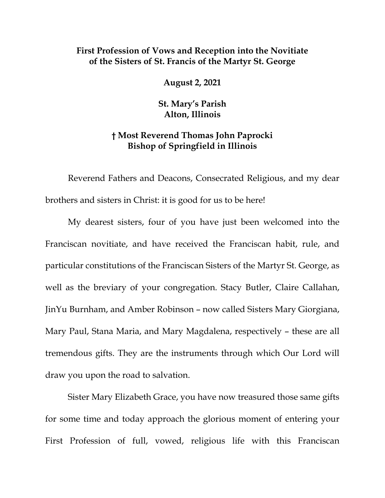## **First Profession of Vows and Reception into the Novitiate of the Sisters of St. Francis of the Martyr St. George**

**August 2, 2021** 

**St. Mary's Parish Alton, Illinois** 

## **† Most Reverend Thomas John Paprocki Bishop of Springfield in Illinois**

Reverend Fathers and Deacons, Consecrated Religious, and my dear brothers and sisters in Christ: it is good for us to be here!

My dearest sisters, four of you have just been welcomed into the Franciscan novitiate, and have received the Franciscan habit, rule, and particular constitutions of the Franciscan Sisters of the Martyr St. George, as well as the breviary of your congregation. Stacy Butler, Claire Callahan, JinYu Burnham, and Amber Robinson – now called Sisters Mary Giorgiana, Mary Paul, Stana Maria, and Mary Magdalena, respectively – these are all tremendous gifts. They are the instruments through which Our Lord will draw you upon the road to salvation.

Sister Mary Elizabeth Grace, you have now treasured those same gifts for some time and today approach the glorious moment of entering your First Profession of full, vowed, religious life with this Franciscan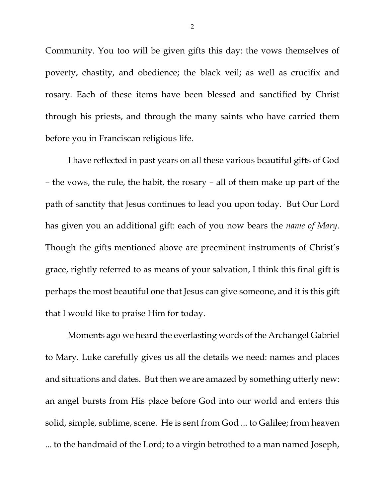Community. You too will be given gifts this day: the vows themselves of poverty, chastity, and obedience; the black veil; as well as crucifix and rosary. Each of these items have been blessed and sanctified by Christ through his priests, and through the many saints who have carried them before you in Franciscan religious life.

I have reflected in past years on all these various beautiful gifts of God – the vows, the rule, the habit, the rosary – all of them make up part of the path of sanctity that Jesus continues to lead you upon today. But Our Lord has given you an additional gift: each of you now bears the *name of Mary*. Though the gifts mentioned above are preeminent instruments of Christ's grace, rightly referred to as means of your salvation, I think this final gift is perhaps the most beautiful one that Jesus can give someone, and it is this gift that I would like to praise Him for today.

Moments ago we heard the everlasting words of the Archangel Gabriel to Mary. Luke carefully gives us all the details we need: names and places and situations and dates. But then we are amazed by something utterly new: an angel bursts from His place before God into our world and enters this solid, simple, sublime, scene. He is sent from God ... to Galilee; from heaven ... to the handmaid of the Lord; to a virgin betrothed to a man named Joseph,

2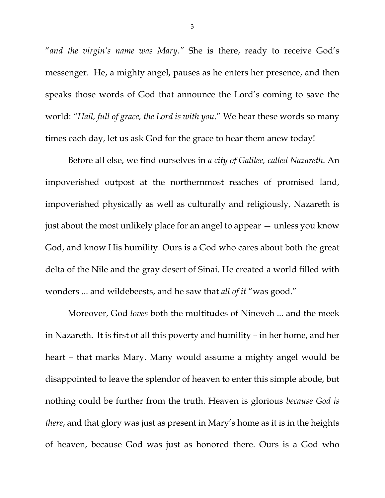"*and the virgin's name was Mary."* She is there, ready to receive God's messenger. He, a mighty angel, pauses as he enters her presence, and then speaks those words of God that announce the Lord's coming to save the world: *"Hail, full of grace, the Lord is with you*." We hear these words so many times each day, let us ask God for the grace to hear them anew today!

Before all else, we find ourselves in *a city of Galilee, called Nazareth*. An impoverished outpost at the northernmost reaches of promised land, impoverished physically as well as culturally and religiously, Nazareth is just about the most unlikely place for an angel to appear — unless you know God, and know His humility. Ours is a God who cares about both the great delta of the Nile and the gray desert of Sinai. He created a world filled with wonders ... and wildebeests, and he saw that *all of it* "was good."

Moreover, God *loves* both the multitudes of Nineveh ... and the meek in Nazareth. It is first of all this poverty and humility – in her home, and her heart – that marks Mary. Many would assume a mighty angel would be disappointed to leave the splendor of heaven to enter this simple abode, but nothing could be further from the truth. Heaven is glorious *because God is there*, and that glory was just as present in Mary's home as it is in the heights of heaven, because God was just as honored there. Ours is a God who

3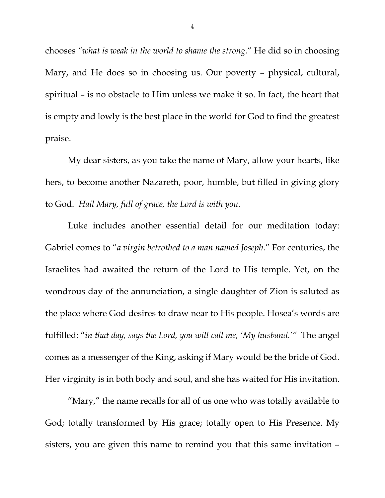chooses *"what is weak in the world to shame the strong.*" He did so in choosing Mary, and He does so in choosing us. Our poverty – physical, cultural, spiritual – is no obstacle to Him unless we make it so. In fact, the heart that is empty and lowly is the best place in the world for God to find the greatest praise.

My dear sisters, as you take the name of Mary, allow your hearts, like hers, to become another Nazareth, poor, humble, but filled in giving glory to God. *Hail Mary, full of grace, the Lord is with you.* 

Luke includes another essential detail for our meditation today: Gabriel comes to "*a virgin betrothed to a man named Joseph.*" For centuries, the Israelites had awaited the return of the Lord to His temple. Yet, on the wondrous day of the annunciation, a single daughter of Zion is saluted as the place where God desires to draw near to His people. Hosea's words are fulfilled: "*in that day, says the Lord, you will call me, 'My husband.'"* The angel comes as a messenger of the King, asking if Mary would be the bride of God. Her virginity is in both body and soul, and she has waited for His invitation.

 "Mary," the name recalls for all of us one who was totally available to God; totally transformed by His grace; totally open to His Presence. My sisters, you are given this name to remind you that this same invitation –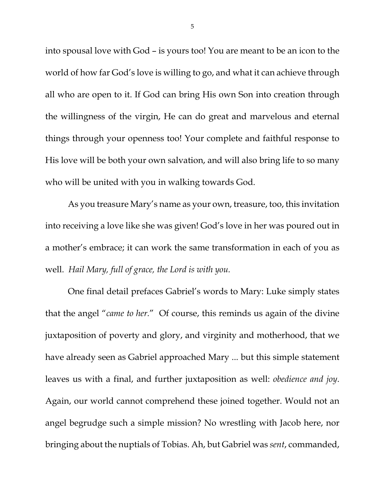into spousal love with God – is yours too! You are meant to be an icon to the world of how far God's love is willing to go, and what it can achieve through all who are open to it. If God can bring His own Son into creation through the willingness of the virgin, He can do great and marvelous and eternal things through your openness too! Your complete and faithful response to His love will be both your own salvation, and will also bring life to so many who will be united with you in walking towards God.

As you treasure Mary's name as your own, treasure, too, this invitation into receiving a love like she was given! God's love in her was poured out in a mother's embrace; it can work the same transformation in each of you as well. *Hail Mary, full of grace, the Lord is with you.*

One final detail prefaces Gabriel's words to Mary: Luke simply states that the angel "*came to her.*" Of course, this reminds us again of the divine juxtaposition of poverty and glory, and virginity and motherhood, that we have already seen as Gabriel approached Mary ... but this simple statement leaves us with a final, and further juxtaposition as well: *obedience and joy*. Again, our world cannot comprehend these joined together. Would not an angel begrudge such a simple mission? No wrestling with Jacob here, nor bringing about the nuptials of Tobias. Ah, but Gabriel was *sent*, commanded,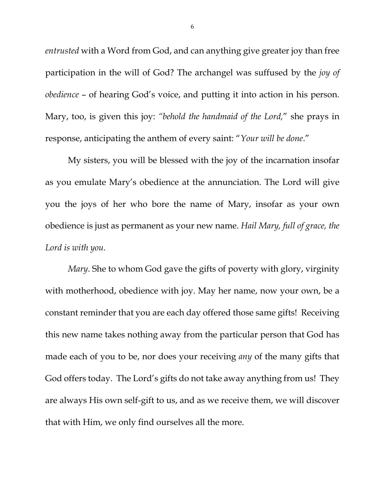*entrusted* with a Word from God, and can anything give greater joy than free participation in the will of God? The archangel was suffused by the *joy of obedience* – of hearing God's voice, and putting it into action in his person. Mary, too, is given this joy: *"behold the handmaid of the Lord,*" she prays in response, anticipating the anthem of every saint: "*Your will be done*."

My sisters, you will be blessed with the joy of the incarnation insofar as you emulate Mary's obedience at the annunciation. The Lord will give you the joys of her who bore the name of Mary, insofar as your own obedience is just as permanent as your new name. *Hail Mary, full of grace, the Lord is with you.* 

*Mary*. She to whom God gave the gifts of poverty with glory, virginity with motherhood, obedience with joy. May her name, now your own, be a constant reminder that you are each day offered those same gifts! Receiving this new name takes nothing away from the particular person that God has made each of you to be, nor does your receiving *any* of the many gifts that God offers today. The Lord's gifts do not take away anything from us! They are always His own self-gift to us, and as we receive them, we will discover that with Him, we only find ourselves all the more.